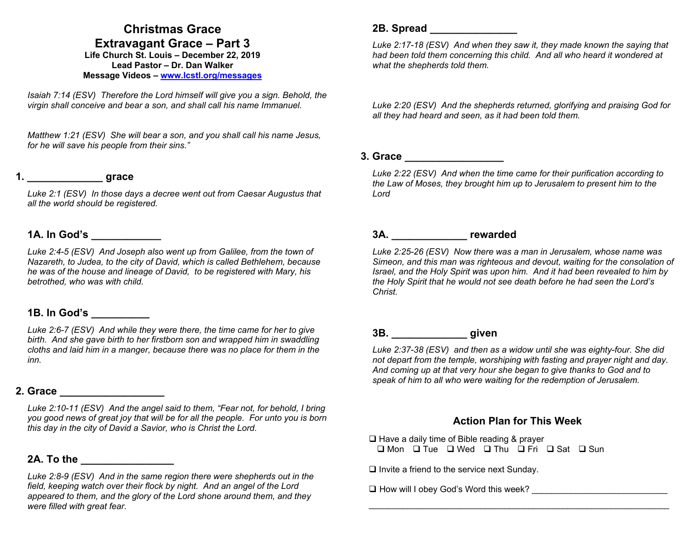### **Christmas Grace Extravagant Grace – Part 3**

**Life Church St. Louis** *–* **December 22, 2019 Lead Pastor – Dr. Dan Walker Message Videos – www.lcstl.org/messages**

*Isaiah 7:14 (ESV) Therefore the Lord himself will give you a sign. Behold, the virgin shall conceive and bear a son, and shall call his name Immanuel.* 

*Matthew 1:21 (ESV) She will bear a son, and you shall call his name Jesus, for he will save his people from their sins."* 

# **1. \_\_\_\_\_\_\_\_\_\_\_\_\_ grace**

*Luke 2:1 (ESV) In those days a decree went out from Caesar Augustus that all the world should be registered.* 

#### **1A. In God's \_\_\_\_\_\_\_\_\_\_\_\_**

Luke 2:4-5 (ESV) And Joseph also went up from Galilee, from the town of *Nazareth, to Judea, to the city of David, which is called Bethlehem, because he was of the house and lineage of David, to be registered with Mary, his betrothed, who was with child.* 

#### **1B. In God's \_\_\_\_\_\_\_\_\_\_**

*Luke 2:6-7 (ESV) And while they were there, the time came for her to give birth. And she gave birth to her firstborn son and wrapped him in swaddling cloths and laid him in a manger, because there was no place for them in the inn.* 

### **2. Grace \_\_\_\_\_\_\_\_\_\_\_\_\_\_\_\_\_\_**

*Luke 2:10-11 (ESV) And the angel said to them, "Fear not, for behold, I bring you good news of great joy that will be for all the people. For unto you is born this day in the city of David a Savior, who is Christ the Lord.* 

### **2A. To the \_\_\_\_\_\_\_\_\_\_\_\_\_\_\_\_**

*Luke 2:8-9 (ESV) And in the same region there were shepherds out in the*  field, keeping watch over their flock by night. And an angel of the Lord *appeared to them, and the glory of the Lord shone around them, and they were filled with great fear.* 

#### **2B. Spread \_\_\_\_\_\_\_\_\_\_\_\_\_\_\_**

*Luke 2:17-18 (ESV) And when they saw it, they made known the saying that had been told them concerning this child. And all who heard it wondered at what the shepherds told them.* 

*Luke 2:20 (ESV) And the shepherds returned, glorifying and praising God for all they had heard and seen, as it had been told them.* 

#### **3. Grace \_\_\_\_\_\_\_\_\_\_\_\_\_\_\_\_\_**

*Luke 2:22 (ESV) And when the time came for their purification according to the Law of Moses, they brought him up to Jerusalem to present him to the Lord* 

## **3A. \_\_\_\_\_\_\_\_\_\_\_\_\_ rewarded**

*Luke 2:25-26 (ESV) Now there was a man in Jerusalem, whose name was Simeon, and this man was righteous and devout, waiting for the consolation of Israel, and the Holy Spirit was upon him. And it had been revealed to him by the Holy Spirit that he would not see death before he had seen the Lord's Christ.* 

# **3B. \_\_\_\_\_\_\_\_\_\_\_\_\_ given**

*Luke 2:37-38 (ESV) and then as a widow until she was eighty-four. She did not depart from the temple, worshiping with fasting and prayer night and day. And coming up at that very hour she began to give thanks to God and to speak of him to all who were waiting for the redemption of Jerusalem.* 

#### **Action Plan for This Week**

\_\_\_\_\_\_\_\_\_\_\_\_\_\_\_\_\_\_\_\_\_\_\_\_\_\_\_\_\_\_\_\_\_\_\_\_\_\_\_\_\_\_\_\_\_\_\_\_\_\_\_\_\_\_\_\_\_\_\_\_\_\_

 $\Box$  Have a daily time of Bible reading & prayer  $\Box$  Mon  $\Box$  Tue  $\Box$  Wed  $\Box$  Thu  $\Box$  Fri  $\Box$  Sat  $\Box$  Sun

 $\square$  Invite a friend to the service next Sunday.

 $\Box$  How will I obey God's Word this week?